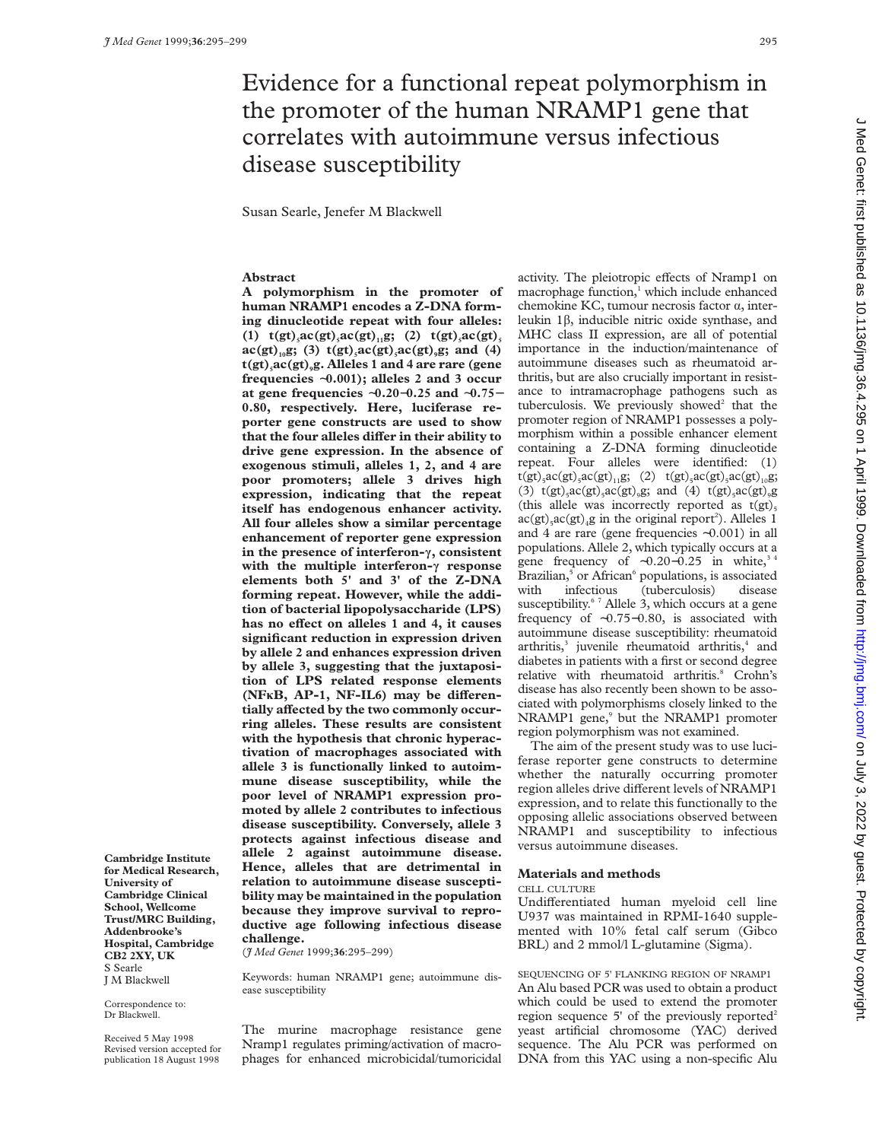# Evidence for a functional repeat polymorphism in the promoter of the human NRAMP1 gene that correlates with autoimmune versus infectious disease susceptibility

Susan Searle, Jenefer M Blackwell

# **Abstract**

**A polymorphism in the promoter of human NRAMP1 encodes a Z-DNA forming dinucleotide repeat with four alleles: (1)**  $t(gt)$ <sub>5</sub> $ac(gt)$ <sub>1</sub> $ac(gt)$ <sub>11</sub> $g$ ; (2)  $t(gt)$ <sub>5</sub> $ac(gt)$ <sub>5</sub>  $ac(gt)_{10}g$ ; (3)  $t(gt)_{3}ac(gt)_{3}ac(gt)_{9}g$ ; and (4) **t(gt)5ac(gt)9g. Alleles 1 and 4 are rare (gene frequencies** ∼**0.001); alleles 2 and 3 occur at gene frequencies** ∼**0.20**−**0.25 and** ∼**0.75**− **0.80, respectively. Here, luciferase reporter gene constructs are used to show** that the four alleles differ in their ability to **drive gene expression. In the absence of exogenous stimuli, alleles 1, 2, and 4 are poor promoters; allele 3 drives high expression, indicating that the repeat itself has endogenous enhancer activity. All four alleles show a similar percentage enhancement of reporter gene expression in the presence of interferon-ã, consistent with the multiple interferon-ã response elements both 5' and 3' of the Z-DNA forming repeat. However, while the addition of bacterial lipopolysaccharide (LPS)** has no effect on alleles 1 and 4, it causes **significant reduction in expression driven by allele 2 and enhances expression driven by allele 3, suggesting that the juxtaposition of LPS related response elements** (NF<sub>**KB**</sub>, AP-1, NF-IL<sub>6</sub>) may be differentially affected by the two commonly occur**ring alleles. These results are consistent with the hypothesis that chronic hyperactivation of macrophages associated with allele 3 is functionally linked to autoimmune disease susceptibility, while the poor level of NRAMP1 expression promoted by allele 2 contributes to infectious disease susceptibility. Conversely, allele 3 protects against infectious disease and allele 2 against autoimmune disease. Hence, alleles that are detrimental in relation to autoimmune disease susceptibility may be maintained in the population because they improve survival to reproductive age following infectious disease challenge.**

(*J Med Genet* 1999;**36**:295–299)

Keywords: human NRAMP1 gene; autoimmune disease susceptibility

Correspondence to: Dr Blackwell.

**Cambridge Institute for Medical Research, University of Cambridge Clinical School, Wellcome Trust/MRC Building, Addenbrooke's Hospital, Cambridge CB2 2XY, UK** S Searle J M Blackwell

Received 5 May 1998 Revised version accepted for publication 18 August 1998

The murine macrophage resistance gene Nramp1 regulates priming/activation of macrophages for enhanced microbicidal/tumoricidal activity. The pleiotropic effects of Nramp1 on macrophage function,<sup>1</sup> which include enhanced chemokine KC, tumour necrosis factor  $\alpha$ , interleukin 1â, inducible nitric oxide synthase, and MHC class II expression, are all of potential importance in the induction/maintenance of autoimmune diseases such as rheumatoid arthritis, but are also crucially important in resistance to intramacrophage pathogens such as tuberculosis. We previously showed<sup>2</sup> that the promoter region of NRAMP1 possesses a polymorphism within a possible enhancer element containing a Z-DNA forming dinucleotide repeat. Four alleles were identified: (1)  $t(gt)$ <sub>5</sub>ac(gt)<sub>5</sub>ac(gt)<sub>11</sub>g; (2)  $t(gt)$ <sub>5</sub>ac(gt)<sub>5</sub>ac(gt)<sub>10</sub>g; (3)  $t(gt)$ <sub>5</sub>ac(gt)<sub>5</sub>ac(gt)<sub>9</sub>g; and (4)  $t(gt)$ <sub>5</sub>ac(gt)<sub>9</sub>g (this allele was incorrectly reported as  $t(gt)$ <sub>5</sub>  $\text{ac(gt)}_3 \text{ac(gt)}_4$ g in the original report<sup>2</sup>). Alleles 1 and 4 are rare (gene frequencies ∼0.001) in all populations. Allele 2, which typically occurs at a gene frequency of ~0.20–0.25 in white,<sup>3</sup> Brazilian,<sup>5</sup> or African<sup>6</sup> populations, is associated with infectious (tuberculosis) disease susceptibility.<sup>6 7</sup> Allele 3, which occurs at a gene frequency of ∼0.75−0.80, is associated with autoimmune disease susceptibility: rheumatoid arthritis, $3$  juvenile rheumatoid arthritis, $4$  and diabetes in patients with a first or second degree relative with rheumatoid arthritis.<sup>8</sup> Crohn's disease has also recently been shown to be associated with polymorphisms closely linked to the NRAMP1 gene,<sup>9</sup> but the NRAMP1 promoter region polymorphism was not examined.

The aim of the present study was to use luciferase reporter gene constructs to determine whether the naturally occurring promoter region alleles drive different levels of NRAMP1 expression, and to relate this functionally to the opposing allelic associations observed between NRAMP1 and susceptibility to infectious versus autoimmune diseases.

#### **Materials and methods**

#### CELL CULTURE

Undifferentiated human myeloid cell line U937 was maintained in RPMI-1640 supplemented with 10% fetal calf serum (Gibco BRL) and 2 mmol/l L-glutamine (Sigma).

SEQUENCING OF 5' FLANKING REGION OF NRAMP1 An Alu based PCR was used to obtain a product which could be used to extend the promoter region sequence  $5'$  of the previously reported<sup>2</sup> yeast artificial chromosome (YAC) derived sequence. The Alu PCR was performed on DNA from this YAC using a non-specific Alu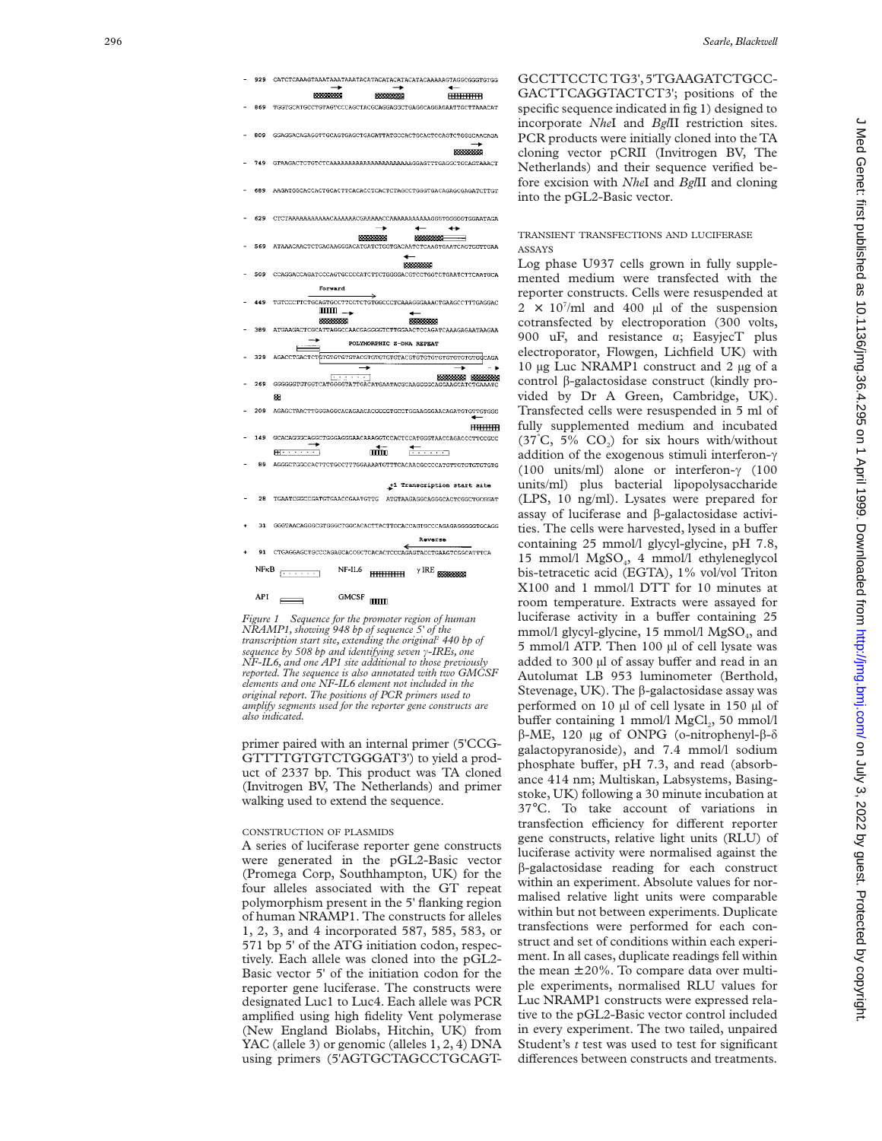



primer paired with an internal primer (5'CCG-GTTTTGTGTCTGGGAT3') to yield a product of 2337 bp. This product was TA cloned (Invitrogen BV, The Netherlands) and primer walking used to extend the sequence.

# CONSTRUCTION OF PLASMIDS

A series of luciferase reporter gene constructs were generated in the pGL2-Basic vector (Promega Corp, Southhampton, UK) for the four alleles associated with the GT repeat polymorphism present in the 5' flanking region of human NRAMP1. The constructs for alleles 1, 2, 3, and 4 incorporated 587, 585, 583, or 571 bp 5' of the ATG initiation codon, respectively. Each allele was cloned into the pGL2- Basic vector 5' of the initiation codon for the reporter gene luciferase. The constructs were designated Luc1 to Luc4. Each allele was PCR amplified using high fidelity Vent polymerase (New England Biolabs, Hitchin, UK) from YAC (allele 3) or genomic (alleles 1, 2, 4) DNA using primers (5'AGTGCTAGCCTGCAGT- GCCTTCCTC TG3',5'TGAAGATCTGCC-GACTTCAGGTACTCT3'; positions of the specific sequence indicated in fig 1) designed to incorporate *Nhe*I and *Bgl*II restriction sites. PCR products were initially cloned into the TA cloning vector pCRII (Invitrogen BV, The Netherlands) and their sequence verified before excision with *Nhe*I and *Bgl*II and cloning into the pGL2-Basic vector.

## TRANSIENT TRANSFECTIONS AND LUCIFERASE ASSAYS

Log phase U937 cells grown in fully supplemented medium were transfected with the reporter constructs. Cells were resuspended at  $2 \times 10^7$ /ml and 400 µl of the suspension cotransfected by electroporation (300 volts, 900 uF, and resistance á; EasyjecT plus electroporator, Flowgen, Lichfield UK) with 10 µg Luc NRAMP1 construct and 2 µg of a control â-galactosidase construct (kindly provided by Dr A Green, Cambridge, UK). Transfected cells were resuspended in 5 ml of fully supplemented medium and incubated (37°C, 5%  $CO<sub>2</sub>$ ) for six hours with/without addition of the exogenous stimuli interferon- $\gamma$ (100 units/ml) alone or interferon- $\gamma$  (100 units/ml) plus bacterial lipopolysaccharide (LPS, 10 ng/ml). Lysates were prepared for assay of luciferase and â-galactosidase activities. The cells were harvested, lysed in a buffer containing 25 mmol/l glycyl-glycine, pH 7.8, 15 mmol/l MgSO 4, 4 mmol/l ethyleneglycol bis-tetracetic acid (EGTA), 1% vol/vol Triton X100 and 1 mmol/l DTT for 10 minutes at room temperature. Extracts were assayed for luciferase activity in a buffer containing 25 mmol/l glycyl-glycine, 15 mmol/l MgSO 4, and 5 mmol/l ATP. Then 100 µl of cell lysate was added to 300 µl of assay buffer and read in an Autolumat LB 953 luminometer (Berthold, Stevenage, UK). The  $\beta$ -galactosidase assay was performed on 10 µl of cell lysate in 150 µl of buffer containing 1 mmol/l MgCl<sub>2</sub>, 50 mmol/l  $β$ -ME, 120 μg of ONPG (o-nitrophenyl-β-δ galactopyranoside), and 7.4 mmol/l sodium phosphate buffer, pH 7.3, and read (absorbance 414 nm; Multiskan, Labsystems, Basingstoke, UK) following a 30 minute incubation at 37 °C. To take account of variations in transfection efficiency for different reporter gene constructs, relative light units (RLU) of luciferase activity were normalised against the â-galactosidase reading for each construct within an experiment. Absolute values for normalised relative light units were comparable within but not between experiments. Duplicate transfections were performed for each construct and set of conditions within each experiment. In all cases, duplicate readings fell within the mean ± 20%. To compare data over multiple experiments, normalised RLU values for Luc NRAMP1 constructs were expressed relative to the pGL2-Basic vector control included in every experiment. The two tailed, unpaired Student's *t* test was used to test for significant differences between constructs and treatments.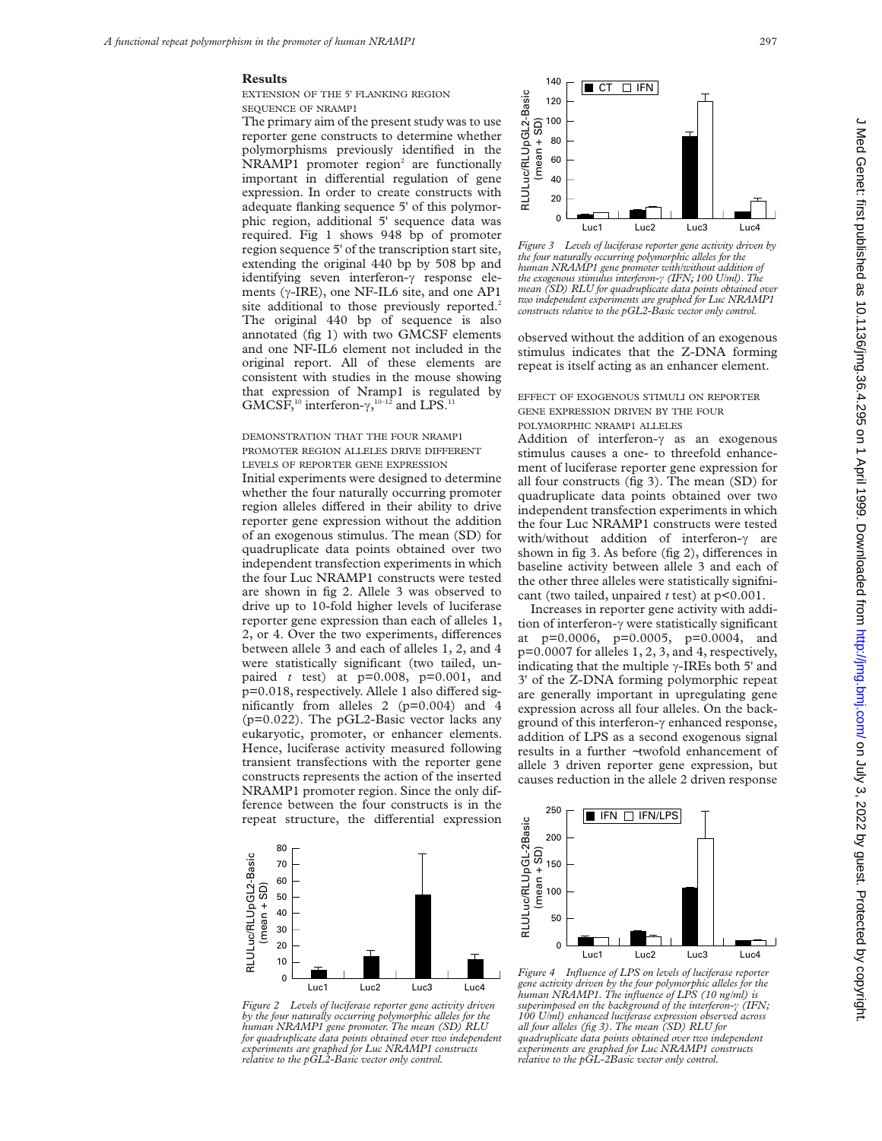## **Results**

EXTENSION OF THE 5' FLANKING REGION SEQUENCE OF NRAMP1

The primary aim of the present study was to use reporter gene constructs to determine whether polymorphisms previously identified in the NRAMP1 promoter region<sup>2</sup> are functionally important in differential regulation of gene expression. In order to create constructs with adequate flanking sequence 5' of this polymorphic region, additional 5' sequence data was required. Fig 1 shows 948 bp of promoter region sequence 5' of the transcription start site, extending the original 440 bp by 508 bp and identifying seven interferon- $\gamma$  response elements ( $\gamma$ -IRE), one NF-IL6 site, and one AP1 site additional to those previously reported.<sup>2</sup> The original 440 bp of sequence is also annotated (fig 1) with two GMCSF elements and one NF-IL6 element not included in the original report. All of these elements are consistent with studies in the mouse showing that expression of Nramp1 is regulated by GMCSF,<sup>10</sup> interferon- $\gamma$ , <sup>10-12</sup> and LPS.<sup>11</sup>

# DEMONSTRATION THAT THE FOUR NRAMP1 PROMOTER REGION ALLELES DRIVE DIFFERENT LEVELS OF REPORTER GENE EXPRESSION

Initial experiments were designed to determine whether the four naturally occurring promoter region alleles differed in their ability to drive reporter gene expression without the addition of an exogenous stimulus. The mean (SD) for quadruplicate data points obtained over two independent transfection experiments in which the four Luc NRAMP1 constructs were tested are shown in fig 2. Allele 3 was observed to drive up to 10-fold higher levels of luciferase reporter gene expression than each of alleles 1, 2, or 4. Over the two experiments, differences between allele 3 and each of alleles 1, 2, and 4 were statistically significant (two tailed, unpaired *t* test) at p=0.008, p=0.001, and  $p=0.018$ , respectively. Allele 1 also differed significantly from alleles 2 (p=0.004) and 4 (p=0.022). The pGL2-Basic vector lacks any eukaryotic, promoter, or enhancer elements. Hence, luciferase activity measured following transient transfections with the reporter gene constructs represents the action of the inserted NRAMP1 promoter region. Since the only difference between the four constructs is in the repeat structure, the differential expression



*Figure 2 Levels of luciferase reporter gene activity driven by the four naturally occurring polymorphic alleles for the human NRAMP1 gene promoter. The mean (SD) RLU for quadruplicate data points obtained over two independent experiments are graphed for Luc NRAMP1 constructs relative to the pGL2-Basic vector only control.*



*Figure 3 Levels of luciferase reporter gene activity driven by the four naturally occurring polymorphic alleles for the human NRAMP1 gene promoter with/without addition of the exogenous stimulus interferon-ã (IFN; 100 U/ml). The mean (SD) RLU for quadruplicate data points obtained over two independent experiments are graphed for Luc NRAMP1 constructs relative to the pGL2-Basic vector only control.*

observed without the addition of an exogenous stimulus indicates that the Z-DNA forming repeat is itself acting as an enhancer element.

EFFECT OF EXOGENOUS STIMULI ON REPORTER GENE EXPRESSION DRIVEN BY THE FOUR POLYMORPHIC NRAMP1 ALLELES

Addition of interferon- $\gamma$  as an exogenous stimulus causes a one- to threefold enhancement of luciferase reporter gene expression for all four constructs (fig 3). The mean (SD) for quadruplicate data points obtained over two independent transfection experiments in which the four Luc NRAMP1 constructs were tested with/without addition of interferon- $\gamma$  are shown in fig  $3$ . As before (fig  $2$ ), differences in baseline activity between allele 3 and each of the other three alleles were statistically signifnicant (two tailed, unpaired *t* test) at p<0.001.

Increases in reporter gene activity with addition of interferon- $\gamma$  were statistically significant at p=0.0006, p=0.0005, p=0.0004, and p=0.0007 for alleles 1, 2, 3, and 4, respectively, indicating that the multiple  $\gamma$ -IREs both 5' and 3' of the Z-DNA forming polymorphic repeat are generally important in upregulating gene expression across all four alleles. On the background of this interferon- $\gamma$  enhanced response, addition of LPS as a second exogenous signal results in a further ∼twofold enhancement of allele 3 driven reporter gene expression, but causes reduction in the allele 2 driven response



*Figure 4 Influence of LPS on levels of luciferase reporter gene activity driven by the four polymorphic alleles for the human NRAMP1. The influence of LPS (10 ng/ml) is superimposed on the background of the interferon-ã (IFN; 100 U/ml) enhanced luciferase expression observed across all four alleles (fig 3). The mean (SD) RLU for quadruplicate data points obtained over two independent experiments are graphed for Luc NRAMP1 constructs relative to the pGL-2Basic vector only control.*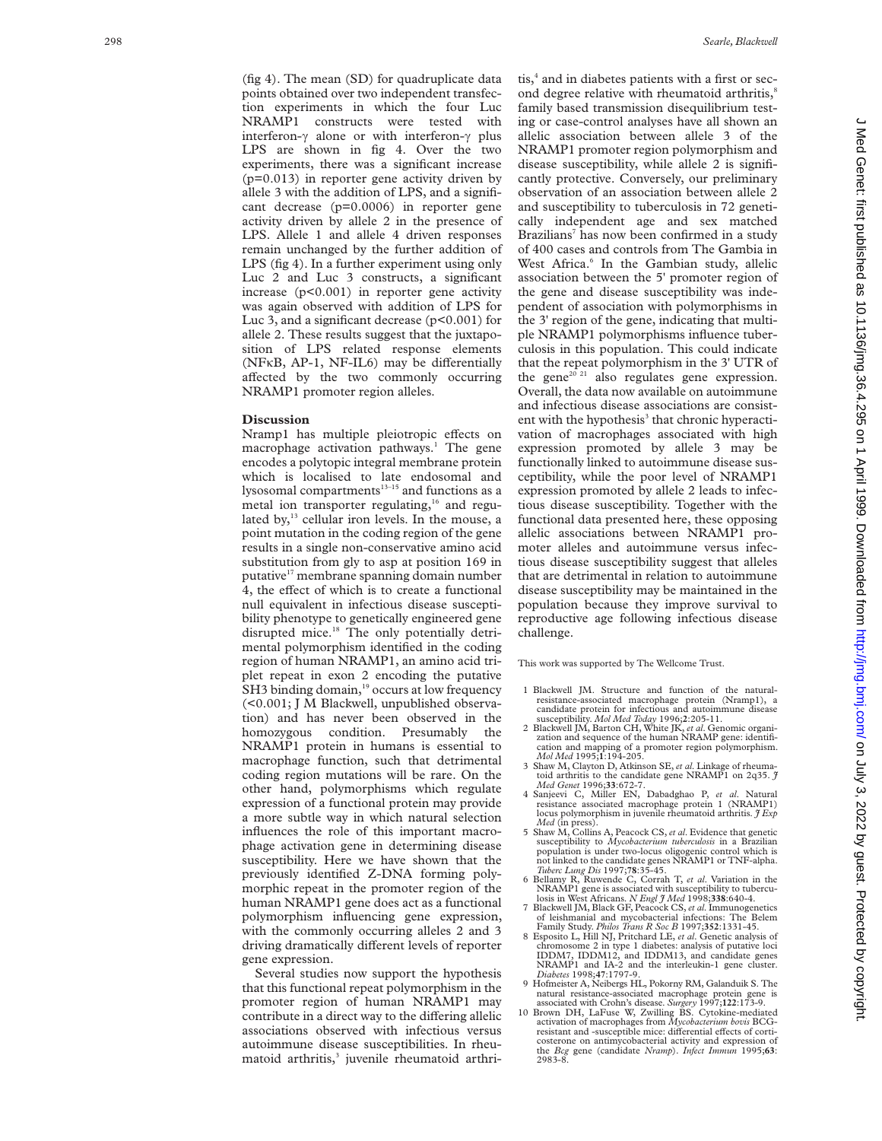(fig 4). The mean (SD) for quadruplicate data points obtained over two independent transfection experiments in which the four Luc NRAMP1 constructs were tested with interferon- $\gamma$  alone or with interferon- $\gamma$  plus LPS are shown in fig 4. Over the two experiments, there was a significant increase  $(p=0.013)$  in reporter gene activity driven by allele 3 with the addition of LPS, and a significant decrease (p=0.0006) in reporter gene activity driven by allele 2 in the presence of LPS. Allele 1 and allele 4 driven responses remain unchanged by the further addition of LPS (fig 4). In a further experiment using only Luc 2 and Luc 3 constructs, a significant increase (p<0.001) in reporter gene activity was again observed with addition of LPS for Luc 3, and a significant decrease  $(p<0.001)$  for allele 2. These results suggest that the juxtaposition of LPS related response elements (NFKB, AP-1, NF-IL6) may be differentially affected by the two commonly occurring NRAMP1 promoter region alleles.

#### **Discussion**

Nramp1 has multiple pleiotropic effects on macrophage activation pathways. <sup>1</sup> The gene encodes a polytopic integral membrane protein which is localised to late endosomal and lysosomal compartments $13-15$  and functions as a metal ion transporter regulating,<sup>16</sup> and regulated by, $^{13}$  cellular iron levels. In the mouse, a point mutation in the coding region of the gene results in a single non-conservative amino acid substitution from gly to asp at position 169 in putative<sup>17</sup> membrane spanning domain number 4, the effect of which is to create a functional null equivalent in infectious disease susceptibility phenotype to genetically engineered gene disrupted mice.<sup>18</sup> The only potentially detrimental polymorphism identified in the coding region of human NRAMP1, an amino acid triplet repeat in exon 2 encoding the putative SH3 binding domain,<sup>19</sup> occurs at low frequency (<0.001; J M Blackwell, unpublished observation) and has never been observed in the homozygous condition. Presumably the NRAMP1 protein in humans is essential to macrophage function, such that detrimental coding region mutations will be rare. On the other hand, polymorphisms which regulate expression of a functional protein may provide a more subtle way in which natural selection influences the role of this important macrophage activation gene in determining disease susceptibility. Here we have shown that the previously identified Z-DNA forming polymorphic repeat in the promoter region of the human NRAMP1 gene does act as a functional polymorphism influencing gene expression, with the commonly occurring alleles 2 and 3 driving dramatically different levels of reporter gene expression.

Several studies now support the hypothesis that this functional repeat polymorphism in the promoter region of human NRAMP1 may contribute in a direct way to the differing allelic associations observed with infectious versus autoimmune disease susceptibilities. In rheumatoid arthritis,<sup>3</sup> juvenile rheumatoid arthri-

tis, <sup>4</sup> and in diabetes patients with a first or second degree relative with rheumatoid arthritis,<sup>8</sup> family based transmission disequilibrium testing or case-control analyses have all shown an allelic association between allele 3 of the NRAMP1 promoter region polymorphism and disease susceptibility, while allele 2 is significantly protective. Conversely, our preliminary observation of an association between allele 2 and susceptibility to tuberculosis in 72 genetically independent age and sex matched Brazilians <sup>7</sup> has now been confirmed in a study of 400 cases and controls from The Gambia in West Africa. <sup>6</sup> In the Gambian study, allelic association between the 5' promoter region of the gene and disease susceptibility was independent of association with polymorphisms in the 3' region of the gene, indicating that multiple NRAMP1 polymorphisms influence tuberculosis in this population. This could indicate that the repeat polymorphism in the 3' UTR of the gene<sup>20 21</sup> also regulates gene expression. Overall, the data now available on autoimmune and infectious disease associations are consistent with the hypothesis<sup>3</sup> that chronic hyperactivation of macrophages associated with high expression promoted by allele 3 may be functionally linked to autoimmune disease susceptibility, while the poor level of NRAMP1 expression promoted by allele 2 leads to infectious disease susceptibility. Together with the functional data presented here, these opposing allelic associations between NRAMP1 promoter alleles and autoimmune versus infectious disease susceptibility suggest that alleles that are detrimental in relation to autoimmune disease susceptibility may be maintained in the population because they improve survival to reproductive age following infectious disease challenge.

This work was supported by The Wellcome Trust.

- 1 Blackwell JM. Structure and function of the naturalresistance-associated macrophage protein (Nramp1), a candidate protein for infectious and autoimmune disease susceptibility. *Mol Med Today* 1996;
- 2 Blackwell JM, Barton CH, White JK, *et al.* Genomic organization and sequence of the human NRAMP gene: identification and mapping of a promoter region polymorphism. *Mol Med* 1995; **1**:194-205.
- 3 Shaw M, Clayton D, Atkinson SE, *et al*. Linkage of rheumatoid arthritis to the candidate gene NRAMP1 on 2q35. *J Med Genet* 1996;**33**:672-7.
- 4 Sanjeevi C, Miller EN, Dabadghao P, *et al*. Natural resistance associated macrophage protein 1 (NRAMP1) locus polymorphism in juvenile rheumatoid arthritis. *J Exp Med* (in press).
- 5 Shaw M, Collins A, Peacock CS, *et al*. Evidence that genetic susceptibility to *Mycobacterium tuberculosis* in a Brazilian population is under two-locus oligogenic control which is not linked to the candidate genes NRAMP1 or TNF-alpha. *Tuberc Lung Dis* 1997;**78**:35-45. 6 Bellamy R, Ruwende C, Corrah T, *et al*. Variation in the
- NRAMP1 gene is associated with susceptibility to tubercu-
- losis in West Africans. *N Engl J Med* 1998;**338**:640-4. 7 Blackwell JM, Black GF, Peacock CS,*et al*. Immunogenetics of leishmanial and mycobacterial infections: The Belem Family Study. *Philos Trans R Soc B* 1997;**352**:1331-45.
- 8 Esposito L, Hill NJ, Pritchard LE, *et al*. Genetic analysis of chromosome 2 in type 1 diabetes: analysis of putative loci IDDM7, IDDM12, and IDDM13, and candidate genes NRAMP1 and IA-2 and the interleukin-1 gene cluster. *Diabetes* 1998;**47**:1797-9.
- 9 Hofmeister A, Neibergs HL, Pokorny RM, Galanduik S. The natural resistance-associated macrophage protein gene is associated with Crohn's disease. *Surgery* 1997;**122**:173-9.
- 10 Brown DH, LaFuse W, Zwilling BS. Cytokine-mediated activation of macrophages from *Mycobacterium bovis* BCGresistant and -susceptible mice: differential effects of corti-<br>costerone on antimycobacterial activity and expression of the *Bcg* gene (candidate *Nramp*). *Infect Immun* 1995;**63** : 2983-8.